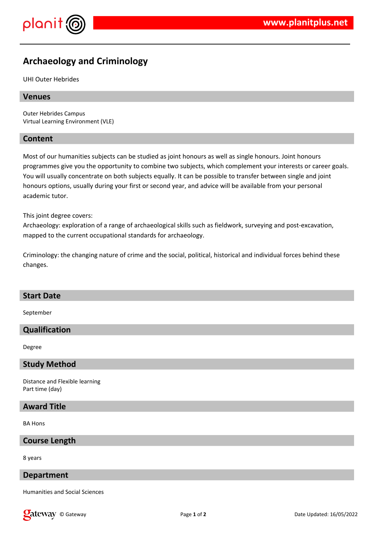

# **Archaeology and Criminology**

UHI Outer Hebrides

# **Venues**

Outer Hebrides Campus Virtual Learning Environment (VLE)

# **Content**

Most of our humanities subjects can be studied as joint honours as well as single honours. Joint honours programmes give you the opportunity to combine two subjects, which complement your interests or career goals. You will usually concentrate on both subjects equally. It can be possible to transfer between single and joint honours options, usually during your first or second year, and advice will be available from your personal academic tutor.

This joint degree covers:

Archaeology: exploration of a range of archaeological skills such as fieldwork, surveying and post-excavation, mapped to the current occupational standards for archaeology.

Criminology: the changing nature of crime and the social, political, historical and individual forces behind these changes.

#### **Start Date**

September

# **Qualification**

Degree

#### **Study Method**

Distance and Flexible learning Part time (day)

# **Award Title**

BA Hons

#### **Course Length**

8 years

#### **Department**

Humanities and Social Sciences

**Qateway** © Gateway **Page 1** of 2 **Date Updated: 16/05/2022 Date Updated: 16/05/2022**